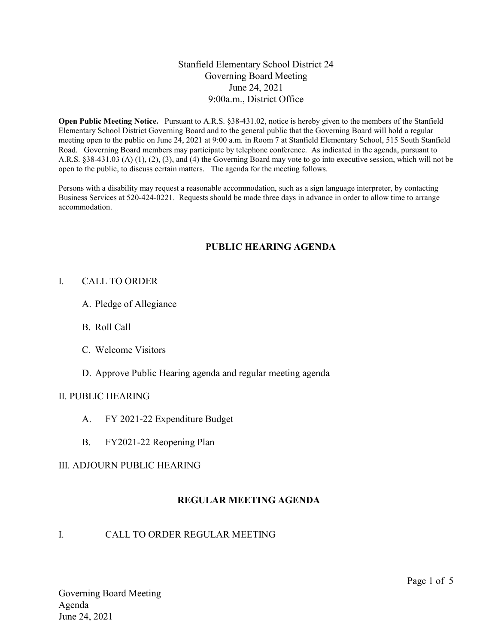### Stanfield Elementary School District 24 Governing Board Meeting June 24, 2021 9:00a.m., District Office

Open Public Meeting Notice. Pursuant to A.R.S. §38-431.02, notice is hereby given to the members of the Stanfield Elementary School District Governing Board and to the general public that the Governing Board will hold a regular meeting open to the public on June 24, 2021 at 9:00 a.m. in Room 7 at Stanfield Elementary School, 515 South Stanfield Road. Governing Board members may participate by telephone conference. As indicated in the agenda, pursuant to A.R.S. §38-431.03 (A) (1), (2), (3), and (4) the Governing Board may vote to go into executive session, which will not be open to the public, to discuss certain matters. The agenda for the meeting follows.

Persons with a disability may request a reasonable accommodation, such as a sign language interpreter, by contacting Business Services at 520-424-0221. Requests should be made three days in advance in order to allow time to arrange accommodation.

### PUBLIC HEARING AGENDA

#### I. CALL TO ORDER

- A. Pledge of Allegiance
- B. Roll Call
- C. Welcome Visitors
- D. Approve Public Hearing agenda and regular meeting agenda

#### II. PUBLIC HEARING

- A. FY 2021-22 Expenditure Budget
- B. FY2021-22 Reopening Plan

### III. ADJOURN PUBLIC HEARING

### REGULAR MEETING AGENDA

### I. CALL TO ORDER REGULAR MEETING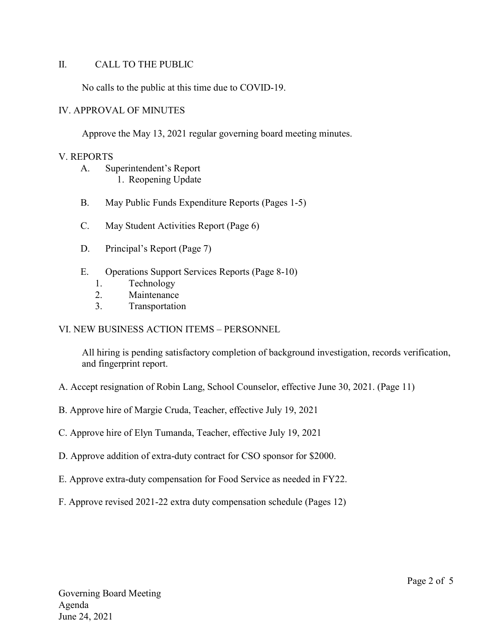### II. CALL TO THE PUBLIC

No calls to the public at this time due to COVID-19.

#### IV. APPROVAL OF MINUTES

Approve the May 13, 2021 regular governing board meeting minutes.

#### V. REPORTS

- A. Superintendent's Report 1. Reopening Update
- B. May Public Funds Expenditure Reports (Pages 1-5)
- C. May Student Activities Report (Page 6)
- D. Principal's Report (Page 7)
- E. Operations Support Services Reports (Page 8-10)
	- 1. Technology
	- 2. Maintenance
	- 3. Transportation

### VI. NEW BUSINESS ACTION ITEMS – PERSONNEL

All hiring is pending satisfactory completion of background investigation, records verification, and fingerprint report.

- A. Accept resignation of Robin Lang, School Counselor, effective June 30, 2021. (Page 11)
- B. Approve hire of Margie Cruda, Teacher, effective July 19, 2021
- C. Approve hire of Elyn Tumanda, Teacher, effective July 19, 2021
- D. Approve addition of extra-duty contract for CSO sponsor for \$2000.
- E. Approve extra-duty compensation for Food Service as needed in FY22.
- F. Approve revised 2021-22 extra duty compensation schedule (Pages 12)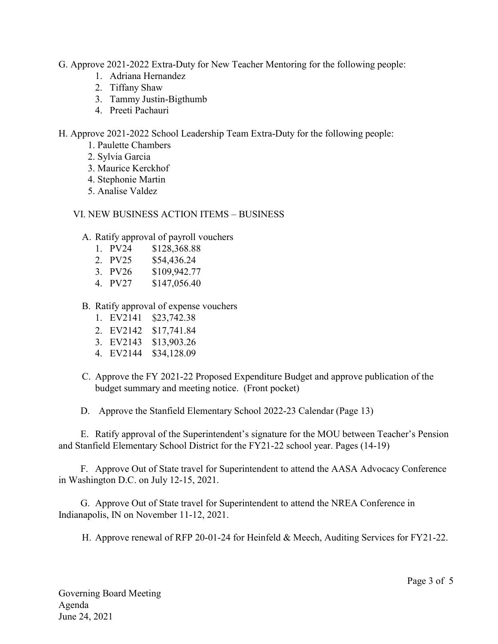- G. Approve 2021-2022 Extra-Duty for New Teacher Mentoring for the following people:
	- 1. Adriana Hernandez
	- 2. Tiffany Shaw
	- 3. Tammy Justin-Bigthumb
	- 4. Preeti Pachauri

H. Approve 2021-2022 School Leadership Team Extra-Duty for the following people:

- 1. Paulette Chambers
- 2. Sylvia Garcia
- 3. Maurice Kerckhof
- 4. Stephonie Martin
- 5. Analise Valdez

## VI. NEW BUSINESS ACTION ITEMS – BUSINESS

- A. Ratify approval of payroll vouchers
	- 1. PV24 \$128,368.88
	- 2. PV25 \$54,436.24
	- 3. PV26 \$109,942.77
	- 4. PV27 \$147,056.40
- B. Ratify approval of expense vouchers
	- 1. EV2141 \$23,742.38
	- 2. EV2142 \$17,741.84
	- 3. EV2143 \$13,903.26
	- 4. EV2144 \$34,128.09
- C. Approve the FY 2021-22 Proposed Expenditure Budget and approve publication of the budget summary and meeting notice. (Front pocket)
- D. Approve the Stanfield Elementary School 2022-23 Calendar (Page 13)

E. Ratify approval of the Superintendent's signature for the MOU between Teacher's Pension and Stanfield Elementary School District for the FY21-22 school year. Pages (14-19)

F. Approve Out of State travel for Superintendent to attend the AASA Advocacy Conference in Washington D.C. on July 12-15, 2021.

G. Approve Out of State travel for Superintendent to attend the NREA Conference in Indianapolis, IN on November 11-12, 2021.

H. Approve renewal of RFP 20-01-24 for Heinfeld & Meech, Auditing Services for FY21-22.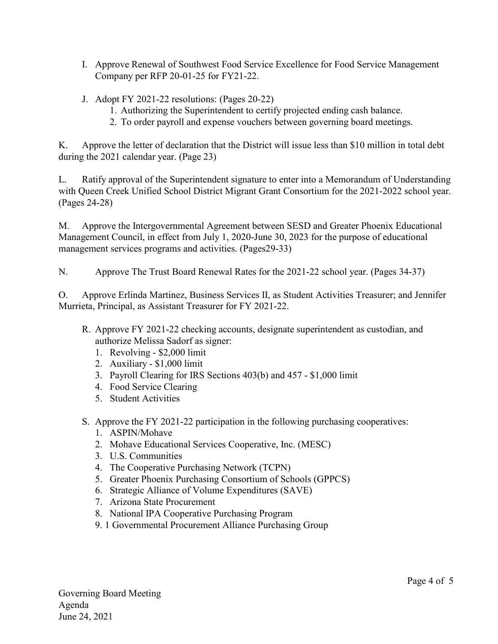- I. Approve Renewal of Southwest Food Service Excellence for Food Service Management Company per RFP 20-01-25 for FY21-22.
- J. Adopt FY 2021-22 resolutions: (Pages 20-22)
	- 1. Authorizing the Superintendent to certify projected ending cash balance.
	- 2. To order payroll and expense vouchers between governing board meetings.

K. Approve the letter of declaration that the District will issue less than \$10 million in total debt during the 2021 calendar year. (Page 23)

L. Ratify approval of the Superintendent signature to enter into a Memorandum of Understanding with Queen Creek Unified School District Migrant Grant Consortium for the 2021-2022 school year. (Pages 24-28)

M. Approve the Intergovernmental Agreement between SESD and Greater Phoenix Educational Management Council, in effect from July 1, 2020-June 30, 2023 for the purpose of educational management services programs and activities. (Pages29-33)

N. Approve The Trust Board Renewal Rates for the 2021-22 school year. (Pages 34-37)

O. Approve Erlinda Martinez, Business Services II, as Student Activities Treasurer; and Jennifer Murrieta, Principal, as Assistant Treasurer for FY 2021-22.

- R. Approve FY 2021-22 checking accounts, designate superintendent as custodian, and authorize Melissa Sadorf as signer:
	- 1. Revolving \$2,000 limit
	- 2. Auxiliary \$1,000 limit
	- 3. Payroll Clearing for IRS Sections 403(b) and 457 \$1,000 limit
	- 4. Food Service Clearing
	- 5. Student Activities
- S. Approve the FY 2021-22 participation in the following purchasing cooperatives:
	- 1. ASPIN/Mohave
	- 2. Mohave Educational Services Cooperative, Inc. (MESC)
	- 3. U.S. Communities
	- 4. The Cooperative Purchasing Network (TCPN)
	- 5. Greater Phoenix Purchasing Consortium of Schools (GPPCS)
	- 6. Strategic Alliance of Volume Expenditures (SAVE)
	- 7. Arizona State Procurement
	- 8. National IPA Cooperative Purchasing Program
	- 9. 1 Governmental Procurement Alliance Purchasing Group